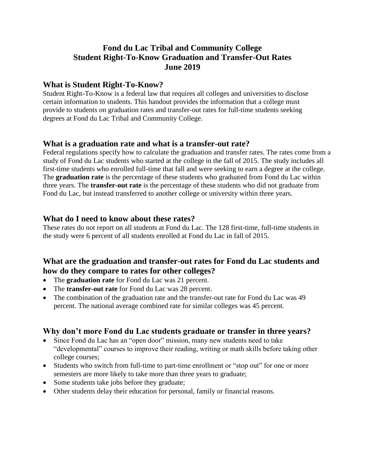# **Fond du Lac Tribal and Community College Student Right-To-Know Graduation and Transfer-Out Rates June 2019**

## **What is Student Right-To-Know?**

Student Right-To-Know is a federal law that requires all colleges and universities to disclose certain information to students. This handout provides the information that a college must provide to students on graduation rates and transfer-out rates for full-time students seeking degrees at Fond du Lac Tribal and Community College.

## **What is a graduation rate and what is a transfer-out rate?**

Federal regulations specify how to calculate the graduation and transfer rates. The rates come from a study of Fond du Lac students who started at the college in the fall of 2015. The study includes all first-time students who enrolled full-time that fall and were seeking to earn a degree at the college. The **graduation rate** is the percentage of these students who graduated from Fond du Lac within three years. The **transfer-out rate** is the percentage of these students who did not graduate from Fond du Lac, but instead transferred to another college or university within three years.

#### **What do I need to know about these rates?**

These rates do not report on all students at Fond du Lac. The 128 first-time, full-time students in the study were 6 percent of all students enrolled at Fond du Lac in fall of 2015.

## **What are the graduation and transfer-out rates for Fond du Lac students and how do they compare to rates for other colleges?**

- The **graduation rate** for Fond du Lac was 21 percent.
- The **transfer-out rate** for Fond du Lac was 28 percent.
- The combination of the graduation rate and the transfer-out rate for Fond du Lac was 49 percent. The national average combined rate for similar colleges was 45 percent.

## **Why don't more Fond du Lac students graduate or transfer in three years?**

- Since Fond du Lac has an "open door" mission, many new students need to take "developmental" courses to improve their reading, writing or math skills before taking other college courses;
- Students who switch from full-time to part-time enrollment or "stop out" for one or more semesters are more likely to take more than three years to graduate;
- Some students take jobs before they graduate;
- Other students delay their education for personal, family or financial reasons.